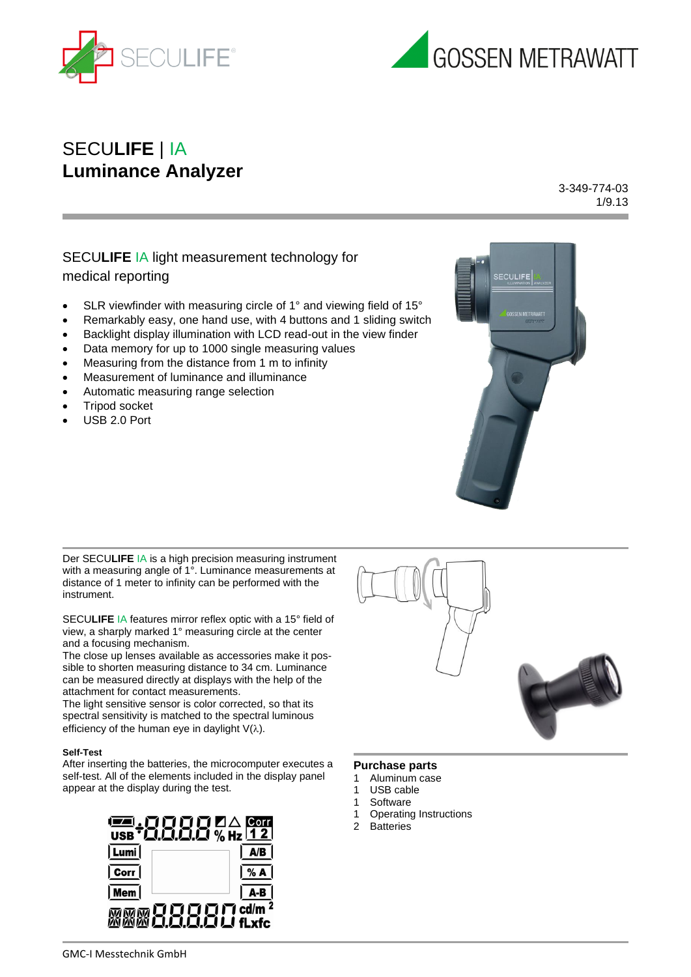



# SECU**LIFE** | IA **Luminance Analyzer**

3-349-774-03 1/9.13

# SECU**LIFE** IA light measurement technology for medical reporting

- SLR viewfinder with measuring circle of 1° and viewing field of 15°
- Remarkably easy, one hand use, with 4 buttons and 1 sliding switch
- Backlight display illumination with LCD read-out in the view finder
- Data memory for up to 1000 single measuring values
- Measuring from the distance from 1 m to infinity
- Measurement of luminance and illuminance
- Automatic measuring range selection
- Tripod socket
- USB 2.0 Port



Der SECU**LIFE** IA is a high precision measuring instrument with a measuring angle of 1°. Luminance measurements at distance of 1 meter to infinity can be performed with the instrument.

SECU**LIFE** IA features mirror reflex optic with a 15° field of view, a sharply marked 1° measuring circle at the center and a focusing mechanism.

The close up lenses available as accessories make it possible to shorten measuring distance to 34 cm. Luminance can be measured directly at displays with the help of the attachment for contact measurements.

The light sensitive sensor is color corrected, so that its spectral sensitivity is matched to the spectral luminous efficiency of the human eye in daylight  $V(\lambda)$ .

#### **Self-Test**

After inserting the batteries, the microcomputer executes a self-test. All of the elements included in the display panel appear at the display during the test.



#### **Purchase parts**

- 1 Aluminum case
- 1 USB cable
- 1 Software
- 1 Operating Instructions
- 2 Batteries